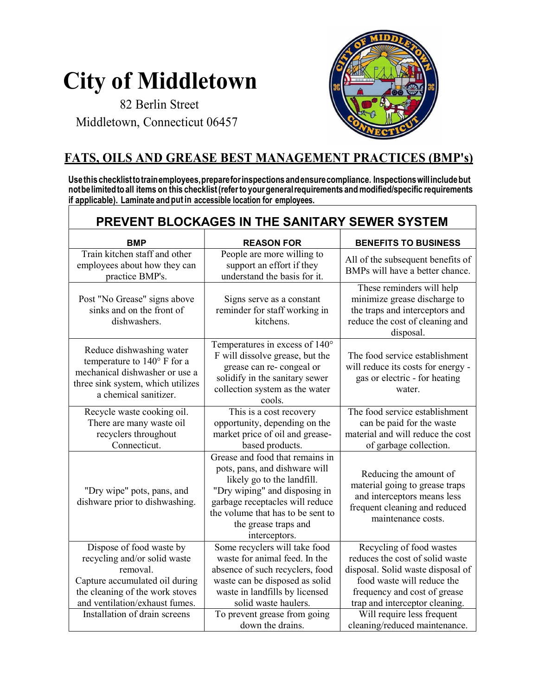## City of Middletown

 82 Berlin Street Middletown, Connecticut 06457



## FATS, OILS AND GREASE BEST MANAGEMENT PRACTICES (BMP's)

Use this checklist to train employees, prepare for inspections and ensure compliance. Inspections will include but not be limited to all items on this checklist (refer to your general requirements and modified/specific requirements if applicable). Laminate and put in accessible location for employees. ٦

|                                                                                                                                                                             | PREVENT BLOCKAGES IN THE SANITARY SEWER SYSTEM                                                                                                                                                                                                   |                                                                                                                                                                                                  |
|-----------------------------------------------------------------------------------------------------------------------------------------------------------------------------|--------------------------------------------------------------------------------------------------------------------------------------------------------------------------------------------------------------------------------------------------|--------------------------------------------------------------------------------------------------------------------------------------------------------------------------------------------------|
| <b>BMP</b>                                                                                                                                                                  | <b>REASON FOR</b>                                                                                                                                                                                                                                | <b>BENEFITS TO BUSINESS</b>                                                                                                                                                                      |
| Train kitchen staff and other<br>employees about how they can<br>practice BMP's.                                                                                            | People are more willing to<br>support an effort if they<br>understand the basis for it.                                                                                                                                                          | All of the subsequent benefits of<br>BMPs will have a better chance.                                                                                                                             |
| Post "No Grease" signs above<br>sinks and on the front of<br>dishwashers.                                                                                                   | Signs serve as a constant<br>reminder for staff working in<br>kitchens.                                                                                                                                                                          | These reminders will help<br>minimize grease discharge to<br>the traps and interceptors and<br>reduce the cost of cleaning and<br>disposal.                                                      |
| Reduce dishwashing water<br>temperature to 140° F for a<br>mechanical dishwasher or use a<br>three sink system, which utilizes<br>a chemical sanitizer.                     | Temperatures in excess of 140°<br>F will dissolve grease, but the<br>grease can re-congeal or<br>solidify in the sanitary sewer<br>collection system as the water<br>cools.                                                                      | The food service establishment<br>will reduce its costs for energy -<br>gas or electric - for heating<br>water.                                                                                  |
| Recycle waste cooking oil.<br>There are many waste oil<br>recyclers throughout<br>Connecticut.                                                                              | This is a cost recovery<br>opportunity, depending on the<br>market price of oil and grease-<br>based products.                                                                                                                                   | The food service establishment<br>can be paid for the waste<br>material and will reduce the cost<br>of garbage collection.                                                                       |
| "Dry wipe" pots, pans, and<br>dishware prior to dishwashing.                                                                                                                | Grease and food that remains in<br>pots, pans, and dishware will<br>likely go to the landfill.<br>"Dry wiping" and disposing in<br>garbage receptacles will reduce<br>the volume that has to be sent to<br>the grease traps and<br>interceptors. | Reducing the amount of<br>material going to grease traps<br>and interceptors means less<br>frequent cleaning and reduced<br>maintenance costs.                                                   |
| Dispose of food waste by<br>recycling and/or solid waste<br>removal.<br>Capture accumulated oil during<br>the cleaning of the work stoves<br>and ventilation/exhaust fumes. | Some recyclers will take food<br>waste for animal feed. In the<br>absence of such recyclers, food<br>waste can be disposed as solid<br>waste in landfills by licensed<br>solid waste haulers.                                                    | Recycling of food wastes<br>reduces the cost of solid waste<br>disposal. Solid waste disposal of<br>food waste will reduce the<br>frequency and cost of grease<br>trap and interceptor cleaning. |
| Installation of drain screens                                                                                                                                               | To prevent grease from going<br>down the drains.                                                                                                                                                                                                 | Will require less frequent<br>cleaning/reduced maintenance.                                                                                                                                      |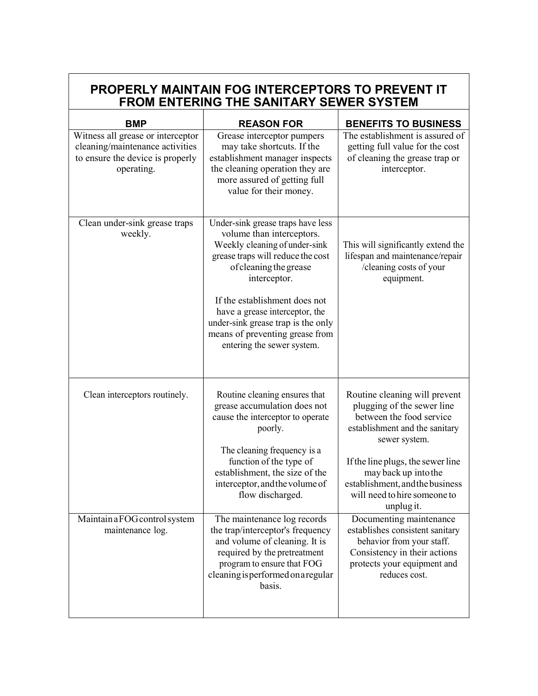| PROPERLY MAINTAIN FOG INTERCEPTORS TO PREVENT IT<br>FROM ENTERING THE SANITARY SEWER SYSTEM                            |                                                                                                                                                                                                                                                                                                                                                          |                                                                                                                                                                                                                                                                                          |  |  |
|------------------------------------------------------------------------------------------------------------------------|----------------------------------------------------------------------------------------------------------------------------------------------------------------------------------------------------------------------------------------------------------------------------------------------------------------------------------------------------------|------------------------------------------------------------------------------------------------------------------------------------------------------------------------------------------------------------------------------------------------------------------------------------------|--|--|
| <b>BMP</b>                                                                                                             | <b>REASON FOR</b>                                                                                                                                                                                                                                                                                                                                        | <b>BENEFITS TO BUSINESS</b>                                                                                                                                                                                                                                                              |  |  |
| Witness all grease or interceptor<br>cleaning/maintenance activities<br>to ensure the device is properly<br>operating. | Grease interceptor pumpers<br>may take shortcuts. If the<br>establishment manager inspects<br>the cleaning operation they are<br>more assured of getting full<br>value for their money.                                                                                                                                                                  | The establishment is assured of<br>getting full value for the cost<br>of cleaning the grease trap or<br>interceptor.                                                                                                                                                                     |  |  |
| Clean under-sink grease traps<br>weekly.                                                                               | Under-sink grease traps have less<br>volume than interceptors.<br>Weekly cleaning of under-sink<br>grease traps will reduce the cost<br>of cleaning the grease<br>interceptor.<br>If the establishment does not<br>have a grease interceptor, the<br>under-sink grease trap is the only<br>means of preventing grease from<br>entering the sewer system. | This will significantly extend the<br>lifespan and maintenance/repair<br>/cleaning costs of your<br>equipment.                                                                                                                                                                           |  |  |
| Clean interceptors routinely.                                                                                          | Routine cleaning ensures that<br>grease accumulation does not<br>cause the interceptor to operate<br>poorly.<br>The cleaning frequency is a<br>function of the type of<br>establishment, the size of the<br>interceptor, and the volume of<br>flow discharged.                                                                                           | Routine cleaning will prevent<br>plugging of the sewer line<br>between the food service<br>establishment and the sanitary<br>sewer system.<br>If the line plugs, the sewer line<br>may back up into the<br>establishment, and the business<br>will need to hire someone to<br>unplug it. |  |  |
| Maintain a FOG control system<br>maintenance log.                                                                      | The maintenance log records<br>the trap/interceptor's frequency<br>and volume of cleaning. It is<br>required by the pretreatment<br>program to ensure that FOG<br>cleaning is performed on a regular<br>basis.                                                                                                                                           | Documenting maintenance<br>establishes consistent sanitary<br>behavior from your staff.<br>Consistency in their actions<br>protects your equipment and<br>reduces cost.                                                                                                                  |  |  |

٦

Γ